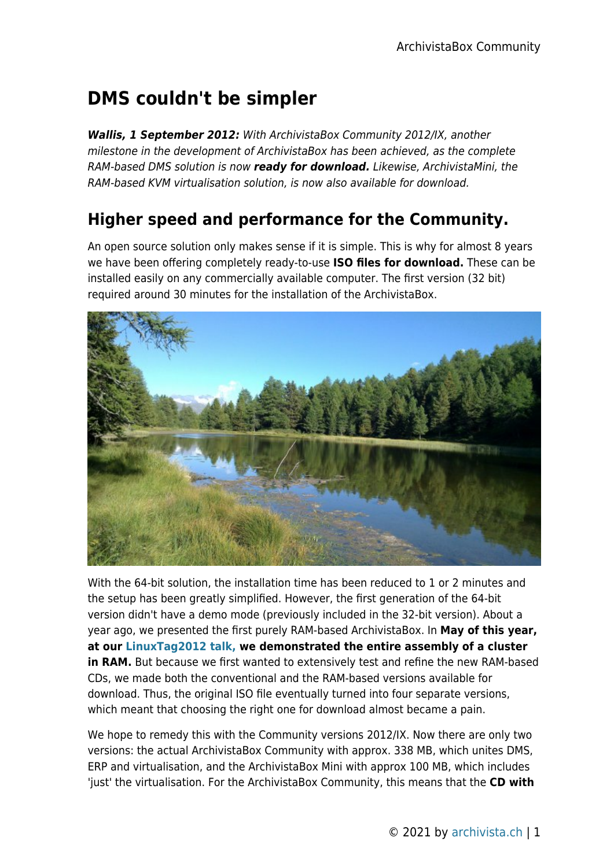## **DMS couldn't be simpler**

*Wallis, 1 September 2012:* With ArchivistaBox Community 2012/IX, another milestone in the development of ArchivistaBox has been achieved, as the complete RAM-based DMS solution is now *ready for download.* Likewise, ArchivistaMini, the RAM-based KVM virtualisation solution, is now also available for download.

## **Higher speed and performance for the Community.**

An open source solution only makes sense if it is simple. This is why for almost 8 years we have been offering completely ready-to-use **ISO files for download.** These can be installed easily on any commercially available computer. The first version (32 bit) required around 30 minutes for the installation of the ArchivistaBox.



With the 64-bit solution, the installation time has been reduced to 1 or 2 minutes and the setup has been greatly simplified. However, the first generation of the 64-bit version didn't have a demo mode (previously included in the 32-bit version). About a year ago, we presented the first purely RAM-based ArchivistaBox. In **May of this year, at our [LinuxTag2012 talk,](http://www.archivista.ch/de/media/cluster/archivistavm-linuxtag2012.pdf) we demonstrated the entire assembly of a cluster in RAM.** But because we first wanted to extensively test and refine the new RAM-based CDs, we made both the conventional and the RAM-based versions available for download. Thus, the original ISO file eventually turned into four separate versions, which meant that choosing the right one for download almost became a pain.

We hope to remedy this with the Community versions 2012/IX. Now there are only two versions: the actual ArchivistaBox Community with approx. 338 MB, which unites DMS, ERP and virtualisation, and the ArchivistaBox Mini with approx 100 MB, which includes 'just' the virtualisation. For the ArchivistaBox Community, this means that the **CD with**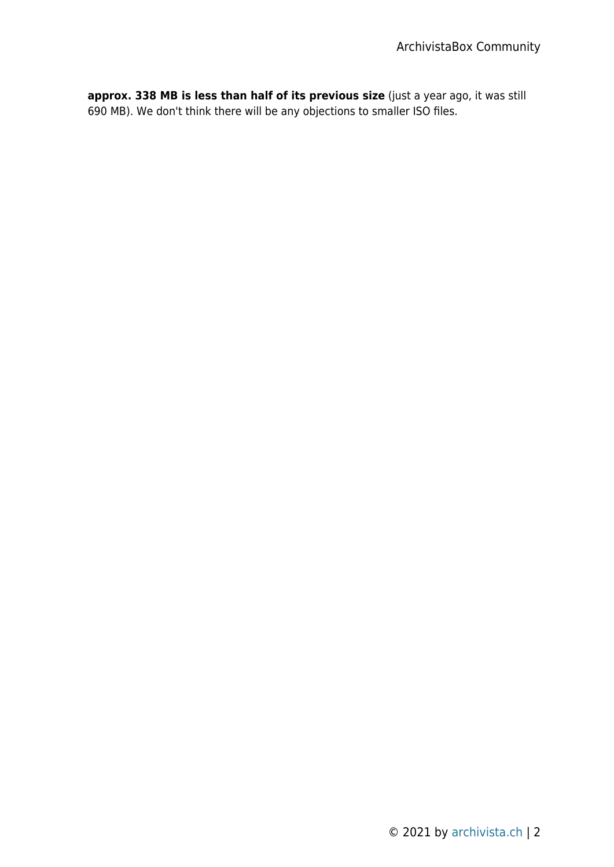**approx. 338 MB is less than half of its previous size** (just a year ago, it was still 690 MB). We don't think there will be any objections to smaller ISO files.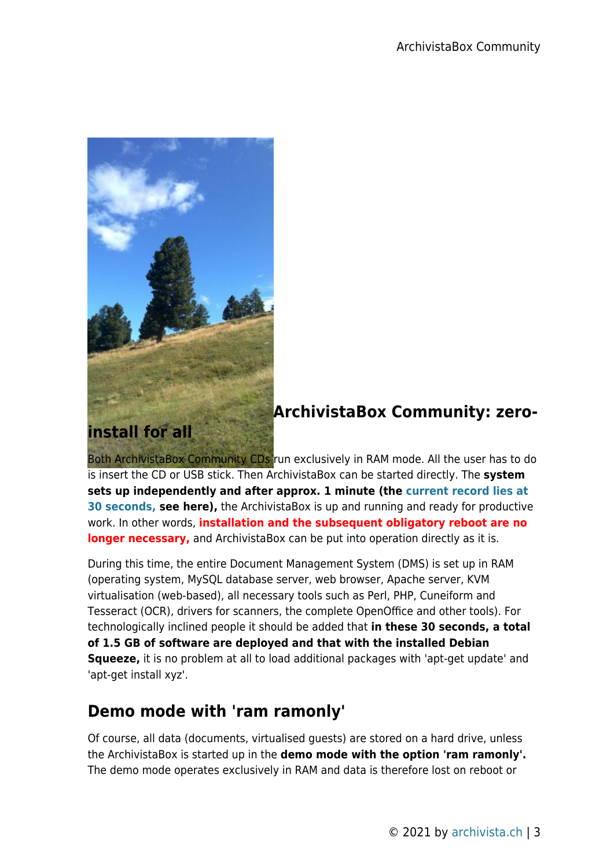

## **ArchivistaBox Community: zero-**

Both ArchivistaBox Community CDs run exclusively in RAM mode. All the user has to do is insert the CD or USB stick. Then ArchivistaBox can be started directly. The **system sets up independently and after approx. 1 minute (the [current record lies at](http://www.archivista.ch/de/media/avcomm.gif) [30 seconds,](http://www.archivista.ch/de/media/avcomm.gif) see here),** the ArchivistaBox is up and running and ready for productive work. In other words, **installation and the subsequent obligatory reboot are no longer necessary,** and ArchivistaBox can be put into operation directly as it is.

During this time, the entire Document Management System (DMS) is set up in RAM (operating system, MySQL database server, web browser, Apache server, KVM virtualisation (web-based), all necessary tools such as Perl, PHP, Cuneiform and Tesseract (OCR), drivers for scanners, the complete OpenOffice and other tools). For technologically inclined people it should be added that **in these 30 seconds, a total of 1.5 GB of software are deployed and that with the installed Debian Squeeze,** it is no problem at all to load additional packages with 'apt-get update' and 'apt-get install xyz'.

## **Demo mode with 'ram ramonly'**

Of course, all data (documents, virtualised guests) are stored on a hard drive, unless the ArchivistaBox is started up in the **demo mode with the option 'ram ramonly'.** The demo mode operates exclusively in RAM and data is therefore lost on reboot or